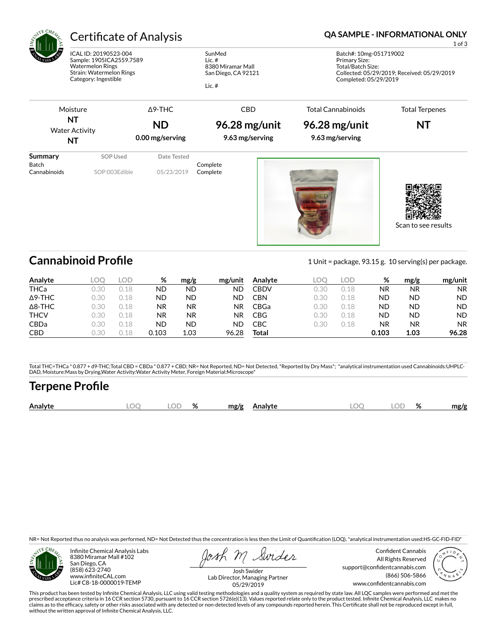

# Certificate of Analysis **Certificate of Analysis QA SAMPLE - INFORMATIONAL ONLY**

ICAL ID: 20190523-004 Sample: 1905ICA2559.7589 Watermelon Rings Strain: Watermelon Rings Category: Ingestible

SunMed Lic. # 8380 Miramar Mall San Diego, CA 92121

Lic. #

1 of 3

Batch#: 10mg-051719002 Primary Size: Total/Batch Size: Collected: 05/29/2019; Received: 05/29/2019 Completed: 05/29/2019

Moisture **NT** Water Activity **NT** Δ9-THC **ND 0.00 mg/serving** CBD **96.28 mg/unit 9.63 mg/serving** Total Cannabinoids **96.28 mg/unit 9.63 mg/serving** Total Terpenes **NT Summary SOP Used** Date Tested

Batch Complete<br>Cannabinoids SOP:003Edible 05/23/2019 Complete SOP:003Edible 05/23/2019 Complete







**Cannabinoid Profile** 1 Unit = package, 93.15 g. 10 serving(s) per package.

| Analyte        | LOO  | LOD. | %     | mg/g | mg/unit | Analyte     | LOC  | LOD  | %         | mg/g      | mg/unit   |
|----------------|------|------|-------|------|---------|-------------|------|------|-----------|-----------|-----------|
| <b>THCa</b>    | 0.30 | 0.18 | ND    | ND   | ND      | <b>CBDV</b> | 0.30 | 0.18 | ΝR        | <b>NR</b> | <b>NR</b> |
| $\Delta$ 9-THC | 0.30 | 0.18 | ND    | ND   | ND      | <b>CBN</b>  | 0.30 | 0.18 | <b>ND</b> | ND        | <b>ND</b> |
| $\Delta$ 8-THC | 0.30 | 0.18 | ΝR    | NR.  | NR.     | CBGa        | 0.30 | 0.18 | <b>ND</b> | ND        | <b>ND</b> |
| <b>THCV</b>    | 0.30 | 18   | ΝR    | NR.  | ΝR      | <b>CBG</b>  | 0.30 | 0.18 | <b>ND</b> | ND        | <b>ND</b> |
| CBDa           | 0.30 | 0.18 | ND    | ND   | ND      | CBC         | 0.30 | 0.18 | ΝR        | <b>NR</b> | <b>NR</b> |
| <b>CBD</b>     | 0.30 | ) 18 | 0.103 | 1.03 | 96.28   | Total       |      |      | 0.103     | 1.03      | 96.28     |

Total THC=THCa \* 0.877 + d9-THC;Total CBD = CBDa \* 0.877 + CBD; NR= Not Reported, ND= Not Detected, \*Reported by Dry Mass\*; \*analytical instrumentation used Cannabinoids:UHPLC-DAD, Moisture:Mass by Drying,Water Activity:Water Activity Meter, Foreign Material:Microscope\*

# **Terpene Profile**

| $\widehat{\phantom{m}}$<br>%<br>DГ<br>$\Gamma$<br>$\mathbf{a}$<br>Analyte<br>mg/g<br>mg/g<br>Analyte<br>λC<br>70<br>๛<br>$\sim$ |
|---------------------------------------------------------------------------------------------------------------------------------|
|---------------------------------------------------------------------------------------------------------------------------------|

NR= Not Reported thus no analysis was performed, ND= Not Detected thus the concentration is less then the Limit of Quantification (LOQ), \*analytical instrumentation used:HS-GC-FID-FID\*



Infinite Chemical Analysis Labs 8380 Miramar Mall #102 San Diego, CA (858) 623-2740 www.infiniteCAL.com Lic# C8-18-0000019-TEMP

Swides

Confident Cannabis All Rights Reserved support@confidentcannabis.com (866) 506-5866 www.confidentcannabis.com



Josh Swider Lab Director, Managing Partner 05/29/2019

This product has been tested by Infinite Chemical Analysis, LLC using valid testing methodologies and a quality system as required by state law. All LQC samples were performed and met the prescribed acceptance criteria in 16 CCR section 5730, pursuant to 16 CCR section 5726(e)(13). Values reported relate only to the product tested. Infinite Chemical Analysis, LLC makes no<br>claims as to the efficacy, safety o without the written approval of Infinite Chemical Analysis, LLC.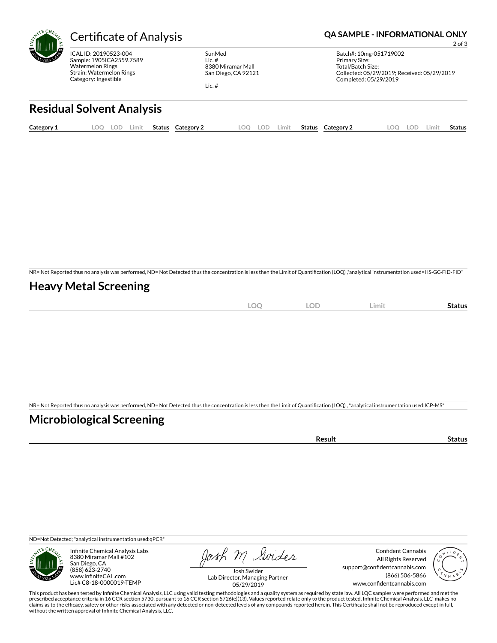

ICAL ID: 20190523-004 Sample: 1905ICA2559.7589 Watermelon Rings Strain: Watermelon Rings Category: Ingestible

SunMed Lic. # 8380 Miramar Mall San Diego, CA 92121

Lic. #

### Certificate of Analysis **Certificate of Analysis QA SAMPLE - INFORMATIONAL ONLY**

Batch#: 10mg-051719002 Primary Size: Total/Batch Size: Collected: 05/29/2019; Received: 05/29/2019 Completed: 05/29/2019

2 of 3

# **Residual Solvent Analysis**

| Category 1 | OC. | LOD | Limit | <b>Status</b> | Category 2 | LOO | LOD | ∟imit | Status | Category 2 | OO | ∟OD | ∟imit | Status |
|------------|-----|-----|-------|---------------|------------|-----|-----|-------|--------|------------|----|-----|-------|--------|
|            |     |     |       |               |            |     |     |       |        |            |    |     |       |        |

NR= Not Reported thus no analysis was performed, ND= Not Detected thus the concentration is less then the Limit of Quantification (LOQ) ,\*analytical instrumentation used=HS-GC-FID-FID\*

# **Heavy Metal Screening**

| $\sim$<br>∼<br>$\sim$ | OF<br>◡◡ | Limit | Status |
|-----------------------|----------|-------|--------|
|                       |          |       |        |

NR= Not Reported thus no analysis was performed, ND= Not Detected thus the concentration is less then the Limit of Quantification (LOQ), \*analytical instrumentation used:ICP-MS\*

### **Microbiological Screening**

| ารนIน |
|-------|
|-------|

ND=Not Detected; \*analytical instrumentation used:qPCR\*



Infinite Chemical Analysis Labs 8380 Miramar Mall #102 San Diego, CA (858) 623-2740 www.infiniteCAL.com Lic# C8-18-0000019-TEMP

Josh M Swider

Confident Cannabis All Rights Reserved support@confidentcannabis.com (866) 506-5866 www.confidentcannabis.com



Josh Swider Lab Director, Managing Partner 05/29/2019

This product has been tested by Infinite Chemical Analysis, LLC using valid testing methodologies and a quality system as required by state law. All LQC samples were performed and met the prescribed acceptance criteria in 16 CCR section 5730, pursuant to 16 CCR section 5726(e)(13). Values reported relate only to the product tested. Infinite Chemical Analysis, LLC makes no<br>claims as to the efficacy, safety o without the written approval of Infinite Chemical Analysis, LLC.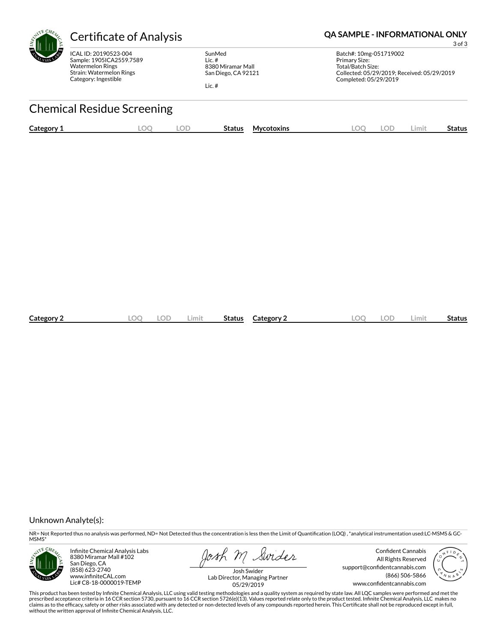

ICAL ID: 20190523-004 Sample: 1905ICA2559.7589 Watermelon Rings Strain: Watermelon Rings Category: Ingestible

SunMed Lic. # 8380 Miramar Mall San Diego, CA 92121

Lic. #

## Certificate of Analysis **Certificate of Analysis QA SAMPLE - INFORMATIONAL ONLY**

3 of 3

Batch#: 10mg-051719002 Primary Size: Total/Batch Size: Collected: 05/29/2019; Received: 05/29/2019 Completed: 05/29/2019

# Chemical Residue Screening

| Category 1 | ے اس | $\bigcap$ | <b>Status</b> | <b>Mycotoxins</b> | .OC | nг | .imit | Status |
|------------|------|-----------|---------------|-------------------|-----|----|-------|--------|
|            |      |           |               |                   |     |    |       |        |

| Category 2 | LOC | ∠imit | Status | Category 2 | ററ | ЭĽ | .imit | <b>Status</b> |
|------------|-----|-------|--------|------------|----|----|-------|---------------|
|            |     |       |        |            |    |    |       |               |

#### Unknown Analyte(s):

NR= Not Reported thus no analysis was performed, ND= Not Detected thus the concentration is less then the Limit of Quantification (LOQ), \*analytical instrumentation used:LC-MSMS & GC-MSMS\*



Infinite Chemical Analysis Labs 8380 Miramar Mall #102 San Diego, CA (858) 623-2740 www.infiniteCAL.com Lic# C8-18-0000019-TEMP

losh m Swider

Confident Cannabis All Rights Reserved support@confidentcannabis.com (866) 506-5866 www.confidentcannabis.com



Josh Swider Lab Director, Managing Partner 05/29/2019

This product has been tested by Infinite Chemical Analysis, LLC using valid testing methodologies and a quality system as required by state law. All LQC samples were performed and met the<br>prescribed acceptance criteria in without the written approval of Infinite Chemical Analysis, LLC.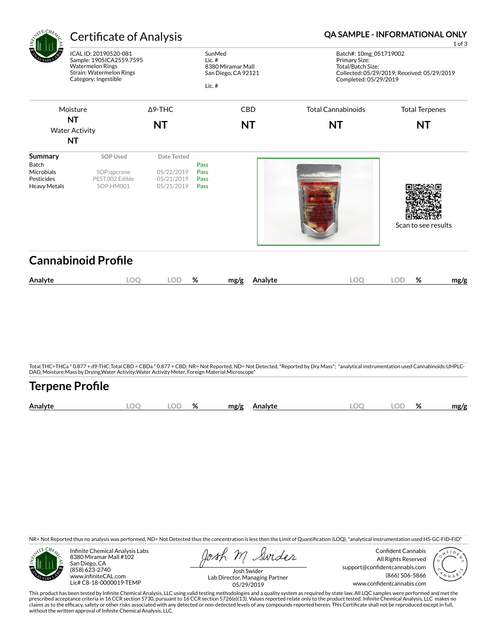| <b>ATE CHEA</b>                                                            | <b>Certificate of Analysis</b>                                                                                                   |                                                              |                              |                                          | <b>QA SAMPLE - INFORMATIONAL ONLY</b><br>1 of 3                                                                                                                                  |                                             |      |  |  |  |  |  |
|----------------------------------------------------------------------------|----------------------------------------------------------------------------------------------------------------------------------|--------------------------------------------------------------|------------------------------|------------------------------------------|----------------------------------------------------------------------------------------------------------------------------------------------------------------------------------|---------------------------------------------|------|--|--|--|--|--|
|                                                                            | ICAL ID: 20190520-081<br>Sample: 1905ICA2559.7595<br><b>Watermelon Rings</b><br>Strain: Watermelon Rings<br>Category: Ingestible |                                                              | SunMed<br>Lic.#<br>Lic.#     | 8380 Miramar Mall<br>San Diego, CA 92121 | Batch#: 10mg_051719002<br>Primary Size:<br>Total/Batch Size:<br>Completed: 05/29/2019                                                                                            | Collected: 05/29/2019; Received: 05/29/2019 |      |  |  |  |  |  |
|                                                                            | Moisture                                                                                                                         | $\Delta$ 9-THC                                               |                              | CBD                                      | <b>Total Cannabinoids</b>                                                                                                                                                        | <b>Total Terpenes</b>                       |      |  |  |  |  |  |
|                                                                            | <b>NT</b><br><b>Water Activity</b><br><b>NT</b>                                                                                  | <b>NT</b>                                                    |                              | <b>NT</b>                                | <b>NT</b>                                                                                                                                                                        | <b>NT</b>                                   |      |  |  |  |  |  |
| <b>Summary</b><br>Batch<br>Microbials<br>Pesticides<br><b>Heavy Metals</b> | <b>SOP Used</b><br>SOP:qpcrone<br>PEST.002 Edible<br>SOP:HM001                                                                   | <b>Date Tested</b><br>05/22/2019<br>05/21/2019<br>05/21/2019 | Pass<br>Pass<br>Pass<br>Pass |                                          |                                                                                                                                                                                  | Scan to see results                         |      |  |  |  |  |  |
|                                                                            | <b>Cannabinoid Profile</b>                                                                                                       |                                                              |                              |                                          |                                                                                                                                                                                  |                                             |      |  |  |  |  |  |
| Analyte                                                                    | <b>LOO</b>                                                                                                                       | <b>LOD</b>                                                   | %                            | Analyte<br>mg/g                          | <b>LOO</b>                                                                                                                                                                       | $\%$<br><b>LOD</b>                          | mg/g |  |  |  |  |  |
|                                                                            |                                                                                                                                  |                                                              |                              |                                          | Total THC=THCa * 0.877 + d9-THC;Total CBD = CBDa * 0.877 + CBD; NR= Not Reported, ND= Not Detected, *Reported by Dry Mass*; *analytical instrumentation used Cannabinoids:UHPLC- |                                             |      |  |  |  |  |  |

Total THC=THCa \* 0.877 + d9-THC;Total CBD = CBDa \* 0.877 + CBD; NR= Not Reported, ND= Not Detected, \*Reported by Dry Mass\*; \*analytical instrumentation used Cannabinoids:UHPLC-<br>DAD, Moisture:Mass by Drying,Water Activity:W

# **Terpene Profile Analyte LOQ LOD % mg/g Analyte LOQ LOD % mg/g**

NR= Not Reported thus no analysis was performed, ND= Not Detected thus the concentration is less then the Limit of Quantification (LOQ), \*analytical instrumentation used:HS-GC-FID-FID\*



Infinite Chemical Analysis Labs 8380 Miramar Mall #102 San Diego, CA (858) 623-2740 www.infiniteCAL.com Lic# C8-18-0000019-TEMP

Swider

Confident Cannabis All Rights Reserved support@confidentcannabis.com (866) 506-5866 www.confidentcannabis.com



Josh Swider Lab Director, Managing Partner 05/29/2019

This product has been tested by Infinite Chemical Analysis, LLC using valid testing methodologies and a quality system as required by state law. All LQC samples were performed and met the<br>prescribed acceptance criteria in without the written approval of Infinite Chemical Analysis, LLC.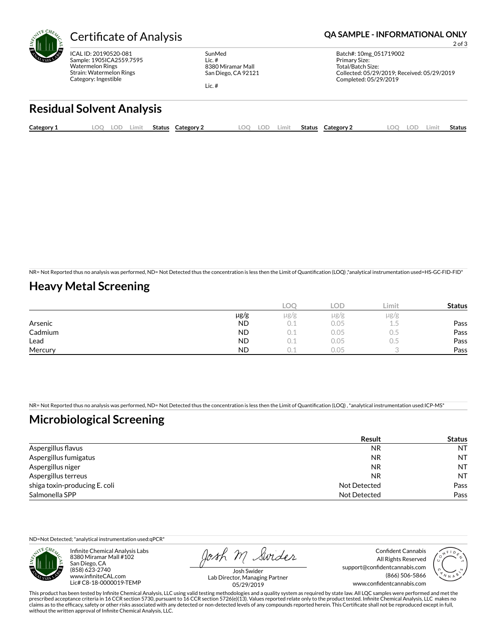

ICAL ID: 20190520-081 Sample: 1905ICA2559.7595 Watermelon Rings Strain: Watermelon Rings Category: Ingestible

SunMed Lic. # 8380 Miramar Mall San Diego, CA 92121

### Certificate of Analysis **Certificate of Analysis QA SAMPLE - INFORMATIONAL ONLY**

Batch#: 10mg\_051719002 Primary Size: Total/Batch Size: Collected: 05/29/2019; Received: 05/29/2019 Completed: 05/29/2019

2 of 3

Lic. #

# **Residual Solvent Analysis**

| Category 1 | ОC | LUL' | Limit | <b>Status</b> | Category | $\Omega$ | LOD | ∟imit | Status | Category 2 | OC | .OD | Limit | Status |
|------------|----|------|-------|---------------|----------|----------|-----|-------|--------|------------|----|-----|-------|--------|
|            |    |      |       |               |          |          |     |       |        |            |    |     |       |        |

NR= Not Reported thus no analysis was performed, ND= Not Detected thus the concentration is less then the Limit of Quantification (LOQ) ,\*analytical instrumentation used=HS-GC-FID-FID\*

## **Heavy Metal Screening**

|         |           | LOC  | OD.       | Limit | <b>Status</b> |
|---------|-----------|------|-----------|-------|---------------|
|         | µg/g      | µg/g | $\mu$ g/g | µg/g  |               |
| Arsenic | <b>ND</b> | 0.1  | 0.05      | 上。つ   | Pass          |
| Cadmium | <b>ND</b> | U. L | 0.05      | U.5   | Pass          |
| Lead    | <b>ND</b> |      | 0.05      | U.J   | Pass          |
| Mercury | <b>ND</b> |      | 0.05      |       | Pass          |

NR= Not Reported thus no analysis was performed, ND= Not Detected thus the concentration is less then the Limit of Quantification (LOQ), \*analytical instrumentation used:ICP-MS\*

### **Microbiological Screening**

|                               | <b>Result</b> | <b>Status</b> |
|-------------------------------|---------------|---------------|
| Aspergillus flavus            | <b>NR</b>     | <b>NT</b>     |
| Aspergillus fumigatus         | <b>NR</b>     | <b>NT</b>     |
| Aspergillus niger             | NR            | <b>NT</b>     |
| Aspergillus terreus           | NR            | <b>NT</b>     |
| shiga toxin-producing E. coli | Not Detected  | Pass          |
| Salmonella SPP                | Not Detected  | Pass          |

ND=Not Detected; \*analytical instrumentation used:qPCR\*



Infinite Chemical Analysis Labs 8380 Miramar Mall #102 San Diego, CA (858) 623-2740 www.infiniteCAL.com Lic# C8-18-0000019-TEMP

Josh M Swider

Confident Cannabis All Rights Reserved support@confidentcannabis.com (866) 506-5866 www.confidentcannabis.com



Josh Swider Lab Director, Managing Partner 05/29/2019

This product has been tested by Infinite Chemical Analysis, LLC using valid testing methodologies and a quality system as required by state law. All LQC samples were performed and met the prescribed acceptance criteria in 16 CCR section 5730, pursuant to 16 CCR section 5726(e)(13). Values reported relate only to the product tested. Infinite Chemical Analysis, LLC makes no<br>claims as to the efficacy, safety o without the written approval of Infinite Chemical Analysis, LLC.